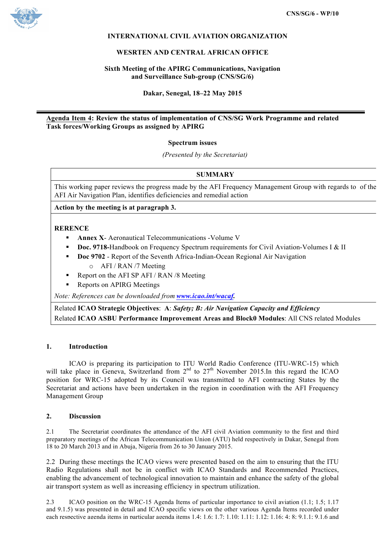

# **INTERNATIONAL CIVIL AVIATION ORGANIZATION**

## **WESRTEN AND CENTRAL AFRICAN OFFICE**

## **Sixth Meeting of the APIRG Communications, Navigation and Surveillance Sub-group (CNS/SG/6)**

**Dakar, Senegal, 18–22 May 2015**

# **Agenda Item 4: Review the status of implementation of CNS/SG Work Programme and related Task forces/Working Groups as assigned by APIRG**

## **Spectrum issues**

*(Presented by the Secretariat)*

# **SUMMARY**

This working paper reviews the progress made by the AFI Frequency Management Group with regards to of the AFI Air Navigation Plan, identifies deficiencies and remedial action

**Action by the meeting is at paragraph 3.**

## **RERENCE**

- § **Annex X** Aeronautical Telecommunications -Volume V
- **Doc. 9718-**Handbook on Frequency Spectrum requirements for Civil Aviation-Volumes I & II
- § **Doc 9702** Report of the Seventh Africa-Indian-Ocean Regional Air Navigation o AFI / RAN /7 Meeting
- § Report on the AFI SP AFI / RAN /8 Meeting
- § Reports on APIRG Meetings

*Note: References can be downloaded from www.icao.int/wacaf.*

Related **ICAO Strategic Objectives**: **A**: *Safety; B: Air Navigation Capacity and Efficiency* Related **ICAO ASBU Performance Improvement Areas and Block0 Modules**: All CNS related Modules

#### **1. Introduction**

ICAO is preparing its participation to ITU World Radio Conference (ITU-WRC-15) which will take place in Geneva, Switzerland from  $2<sup>nd</sup>$  to  $27<sup>th</sup>$  November 2015.In this regard the ICAO position for WRC-15 adopted by its Council was transmitted to AFI contracting States by the Secretariat and actions have been undertaken in the region in coordination with the AFI Frequency Management Group

#### **2. Discussion**

2.1 The Secretariat coordinates the attendance of the AFI civil Aviation community to the first and third preparatory meetings of the African Telecommunication Union (ATU) held respectively in Dakar, Senegal from 18 to 20 March 2013 and in Abuja, Nigeria from 26 to 30 January 2015.

2.2 During these meetings the ICAO views were presented based on the aim to ensuring that the ITU Radio Regulations shall not be in conflict with ICAO Standards and Recommended Practices, enabling the advancement of technological innovation to maintain and enhance the safety of the global air transport system as well as increasing efficiency in spectrum utilization.

2.3 ICAO position on the WRC-15 Agenda Items of particular importance to civil aviation (1.1; 1.5; 1.17 and 9.1.5) was presented in detail and ICAO specific views on the other various Agenda Items recorded under each respective agenda items in particular agenda items 1.4; 1.6; 1.7; 1.10; 1.11; 1.12; 1.16; 4; 8; 9.1.1; 9.1.6 and